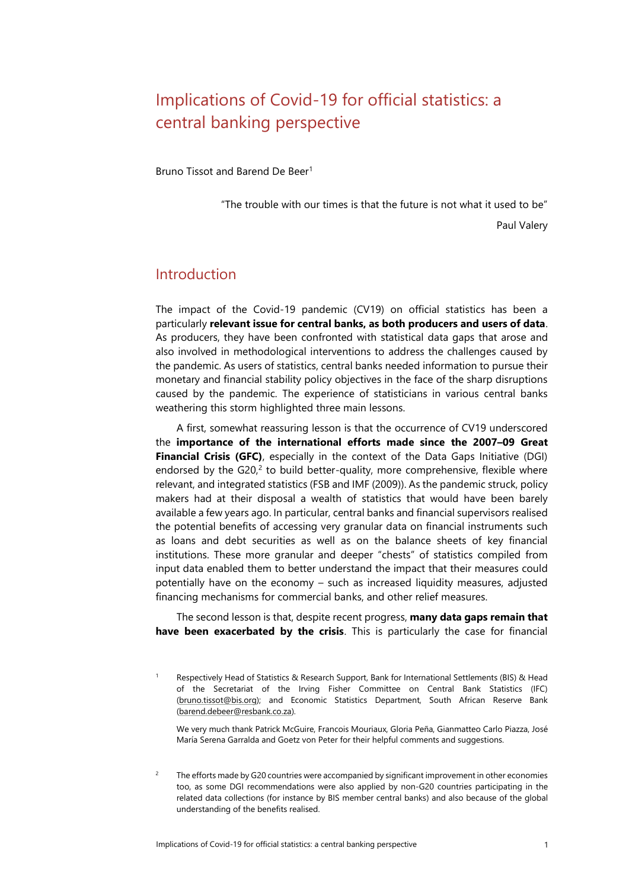# Implications of Covid-19 for official statistics: a central banking perspective

Bruno Tissot and Barend De Beer<sup>1</sup>

"The trouble with our times is that the future is not what it used to be"

Paul Valery

## Introduction

The impact of the Covid-19 pandemic (CV19) on official statistics has been a particularly **relevant issue for central banks, as both producers and users of data**. As producers, they have been confronted with statistical data gaps that arose and also involved in methodological interventions to address the challenges caused by the pandemic. As users of statistics, central banks needed information to pursue their monetary and financial stability policy objectives in the face of the sharp disruptions caused by the pandemic. The experience of statisticians in various central banks weathering this storm highlighted three main lessons.

A first, somewhat reassuring lesson is that the occurrence of CV19 underscored the **importance of the international efforts made since the 2007–09 Great Financial Crisis (GFC)**, especially in the context of the Data Gaps Initiative (DGI) endorsed by the  $G20<sub>i</sub><sup>2</sup>$  to build better-quality, more comprehensive, flexible where relevant, and integrated statistics (FSB and IMF (2009)). As the pandemic struck, policy makers had at their disposal a wealth of statistics that would have been barely available a few years ago. In particular, central banks and financial supervisors realised the potential benefits of accessing very granular data on financial instruments such as loans and debt securities as well as on the balance sheets of key financial institutions. These more granular and deeper "chests" of statistics compiled from input data enabled them to better understand the impact that their measures could potentially have on the economy – such as increased liquidity measures, adjusted financing mechanisms for commercial banks, and other relief measures.

The second lesson is that, despite recent progress, **many data gaps remain that have been exacerbated by the crisis**. This is particularly the case for financial

We very much thank Patrick McGuire, Francois Mouriaux, Gloria Peña, Gianmatteo Carlo Piazza, José María Serena Garralda and Goetz von Peter for their helpful comments and suggestions.

<sup>2</sup> The efforts made by G20 countries were accompanied by significant improvement in other economies too, as some DGI recommendations were also applied by non-G20 countries participating in the related data collections (for instance by BIS member central banks) and also because of the global understanding of the benefits realised.

Respectively Head of Statistics & Research Support, Bank for International Settlements (BIS) & Head of the Secretariat of the Irving Fisher Committee on Central Bank Statistics (IFC) [\(bruno.tissot@bis.org\)](mailto:bruno.tissot@bis.org); and Economic Statistics Department, South African Reserve Bank [\(barend.debeer@resbank.co.za\)](mailto:barend.debeer@resbank.co.za).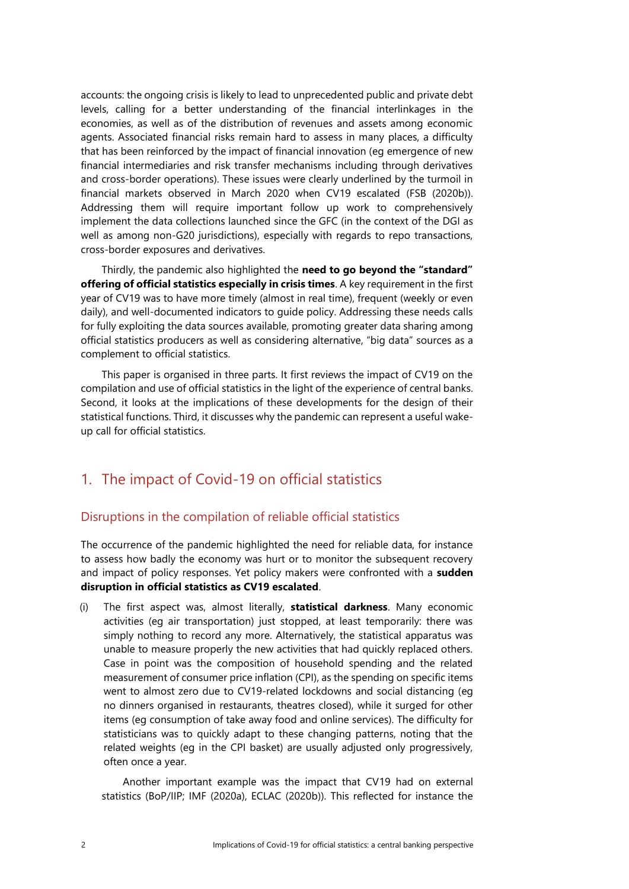accounts: the ongoing crisis is likely to lead to unprecedented public and private debt levels, calling for a better understanding of the financial interlinkages in the economies, as well as of the distribution of revenues and assets among economic agents. Associated financial risks remain hard to assess in many places, a difficulty that has been reinforced by the impact of financial innovation (eg emergence of new financial intermediaries and risk transfer mechanisms including through derivatives and cross-border operations). These issues were clearly underlined by the turmoil in financial markets observed in March 2020 when CV19 escalated (FSB (2020b)). Addressing them will require important follow up work to comprehensively implement the data collections launched since the GFC (in the context of the DGI as well as among non-G20 jurisdictions), especially with regards to repo transactions, cross-border exposures and derivatives.

Thirdly, the pandemic also highlighted the **need to go beyond the "standard" offering of official statistics especially in crisis times**. A key requirement in the first year of CV19 was to have more timely (almost in real time), frequent (weekly or even daily), and well-documented indicators to guide policy. Addressing these needs calls for fully exploiting the data sources available, promoting greater data sharing among official statistics producers as well as considering alternative, "big data" sources as a complement to official statistics.

This paper is organised in three parts. It first reviews the impact of CV19 on the compilation and use of official statistics in the light of the experience of central banks. Second, it looks at the implications of these developments for the design of their statistical functions. Third, it discusses why the pandemic can represent a useful wakeup call for official statistics.

## 1. The impact of Covid-19 on official statistics

#### Disruptions in the compilation of reliable official statistics

The occurrence of the pandemic highlighted the need for reliable data, for instance to assess how badly the economy was hurt or to monitor the subsequent recovery and impact of policy responses. Yet policy makers were confronted with a **sudden disruption in official statistics as CV19 escalated**.

(i) The first aspect was, almost literally, **statistical darkness**. Many economic activities (eg air transportation) just stopped, at least temporarily: there was simply nothing to record any more. Alternatively, the statistical apparatus was unable to measure properly the new activities that had quickly replaced others. Case in point was the composition of household spending and the related measurement of consumer price inflation (CPI), as the spending on specific items went to almost zero due to CV19-related lockdowns and social distancing (eg no dinners organised in restaurants, theatres closed), while it surged for other items (eg consumption of take away food and online services). The difficulty for statisticians was to quickly adapt to these changing patterns, noting that the related weights (eg in the CPI basket) are usually adjusted only progressively, often once a year.

Another important example was the impact that CV19 had on external statistics (BoP/IIP; IMF (2020a), ECLAC (2020b)). This reflected for instance the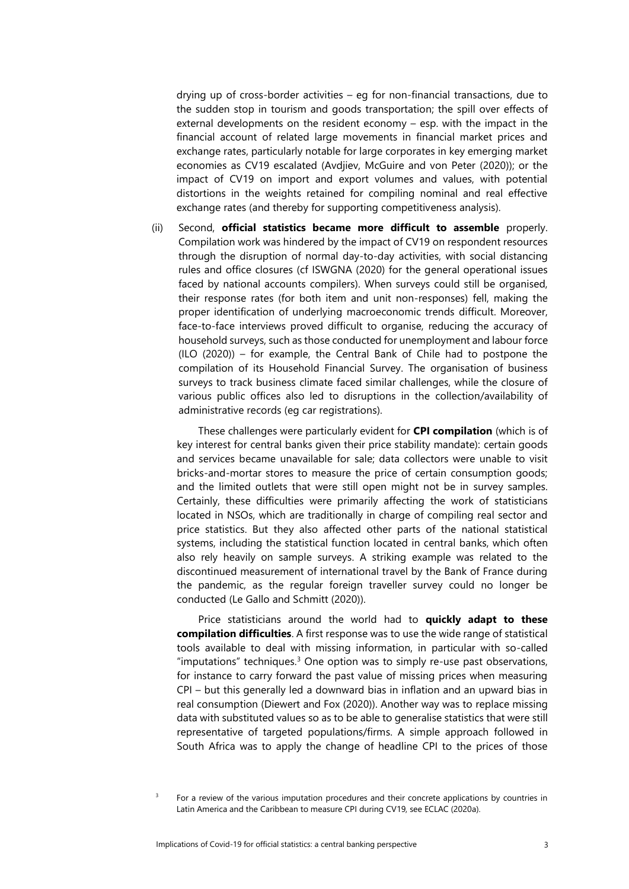drying up of cross-border activities – eg for non-financial transactions, due to the sudden stop in tourism and goods transportation; the spill over effects of external developments on the resident economy – esp. with the impact in the financial account of related large movements in financial market prices and exchange rates, particularly notable for large corporates in key emerging market economies as CV19 escalated (Avdjiev, McGuire and von Peter (2020)); or the impact of CV19 on import and export volumes and values, with potential distortions in the weights retained for compiling nominal and real effective exchange rates (and thereby for supporting competitiveness analysis).

(ii) Second, **official statistics became more difficult to assemble** properly. Compilation work was hindered by the impact of CV19 on respondent resources through the disruption of normal day-to-day activities, with social distancing rules and office closures (cf ISWGNA (2020) for the general operational issues faced by national accounts compilers). When surveys could still be organised, their response rates (for both item and unit non-responses) fell, making the proper identification of underlying macroeconomic trends difficult. Moreover, face-to-face interviews proved difficult to organise, reducing the accuracy of household surveys, such as those conducted for unemployment and labour force (ILO (2020)) – for example, the Central Bank of Chile had to postpone the compilation of its Household Financial Survey. The organisation of business surveys to track business climate faced similar challenges, while the closure of various public offices also led to disruptions in the collection/availability of administrative records (eg car registrations).

These challenges were particularly evident for **CPI compilation** (which is of key interest for central banks given their price stability mandate): certain goods and services became unavailable for sale; data collectors were unable to visit bricks-and-mortar stores to measure the price of certain consumption goods; and the limited outlets that were still open might not be in survey samples. Certainly, these difficulties were primarily affecting the work of statisticians located in NSOs, which are traditionally in charge of compiling real sector and price statistics. But they also affected other parts of the national statistical systems, including the statistical function located in central banks, which often also rely heavily on sample surveys. A striking example was related to the discontinued measurement of international travel by the Bank of France during the pandemic, as the regular foreign traveller survey could no longer be conducted (Le Gallo and Schmitt (2020)).

Price statisticians around the world had to **quickly adapt to these compilation difficulties**. A first response was to use the wide range of statistical tools available to deal with missing information, in particular with so-called "imputations" techniques. $3$  One option was to simply re-use past observations, for instance to carry forward the past value of missing prices when measuring CPI – but this generally led a downward bias in inflation and an upward bias in real consumption (Diewert and Fox (2020)). Another way was to replace missing data with substituted values so as to be able to generalise statistics that were still representative of targeted populations/firms. A simple approach followed in South Africa was to apply the change of headline CPI to the prices of those

<sup>3</sup> For a review of the various imputation procedures and their concrete applications by countries in Latin America and the Caribbean to measure CPI during CV19, see ECLAC (2020a).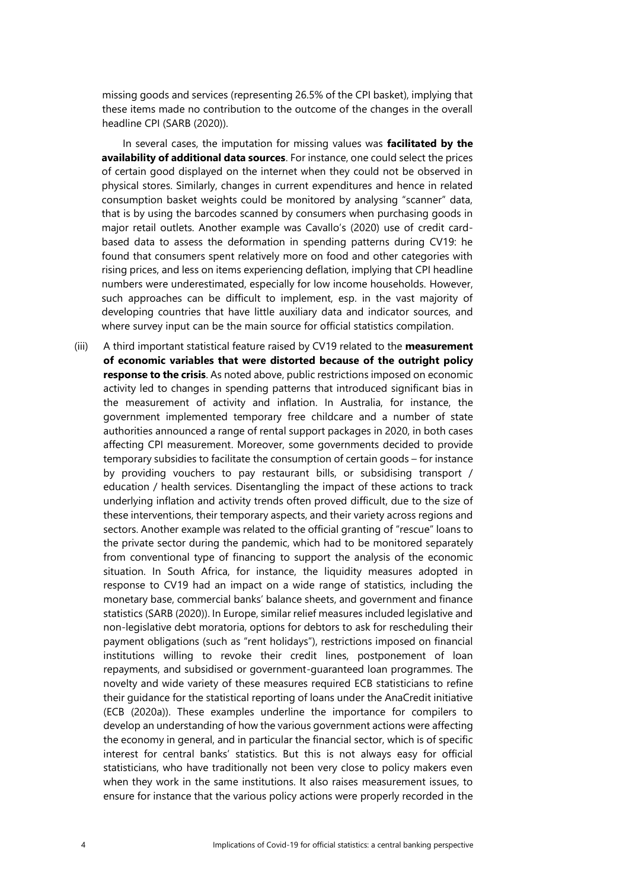missing goods and services (representing 26.5% of the CPI basket), implying that these items made no contribution to the outcome of the changes in the overall headline CPI (SARB (2020)).

In several cases, the imputation for missing values was **facilitated by the availability of additional data sources**. For instance, one could select the prices of certain good displayed on the internet when they could not be observed in physical stores. Similarly, changes in current expenditures and hence in related consumption basket weights could be monitored by analysing "scanner" data, that is by using the barcodes scanned by consumers when purchasing goods in major retail outlets. Another example was Cavallo's (2020) use of credit cardbased data to assess the deformation in spending patterns during CV19: he found that consumers spent relatively more on food and other categories with rising prices, and less on items experiencing deflation, implying that CPI headline numbers were underestimated, especially for low income households. However, such approaches can be difficult to implement, esp. in the vast majority of developing countries that have little auxiliary data and indicator sources, and where survey input can be the main source for official statistics compilation.

(iii) A third important statistical feature raised by CV19 related to the **measurement of economic variables that were distorted because of the outright policy response to the crisis**. As noted above, public restrictions imposed on economic activity led to changes in spending patterns that introduced significant bias in the measurement of activity and inflation. In Australia, for instance, the government implemented temporary free childcare and a number of state authorities announced a range of rental support packages in 2020, in both cases affecting CPI measurement. Moreover, some governments decided to provide temporary subsidies to facilitate the consumption of certain goods – for instance by providing vouchers to pay restaurant bills, or subsidising transport / education / health services. Disentangling the impact of these actions to track underlying inflation and activity trends often proved difficult, due to the size of these interventions, their temporary aspects, and their variety across regions and sectors. Another example was related to the official granting of "rescue" loans to the private sector during the pandemic, which had to be monitored separately from conventional type of financing to support the analysis of the economic situation. In South Africa, for instance, the liquidity measures adopted in response to CV19 had an impact on a wide range of statistics, including the monetary base, commercial banks' balance sheets, and government and finance statistics (SARB (2020)). In Europe, similar relief measures included legislative and non-legislative debt moratoria, options for debtors to ask for rescheduling their payment obligations (such as "rent holidays"), restrictions imposed on financial institutions willing to revoke their credit lines, postponement of loan repayments, and subsidised or government-guaranteed loan programmes. The novelty and wide variety of these measures required ECB statisticians to refine their guidance for the statistical reporting of loans under the AnaCredit initiative (ECB (2020a)). These examples underline the importance for compilers to develop an understanding of how the various government actions were affecting the economy in general, and in particular the financial sector, which is of specific interest for central banks' statistics. But this is not always easy for official statisticians, who have traditionally not been very close to policy makers even when they work in the same institutions. It also raises measurement issues, to ensure for instance that the various policy actions were properly recorded in the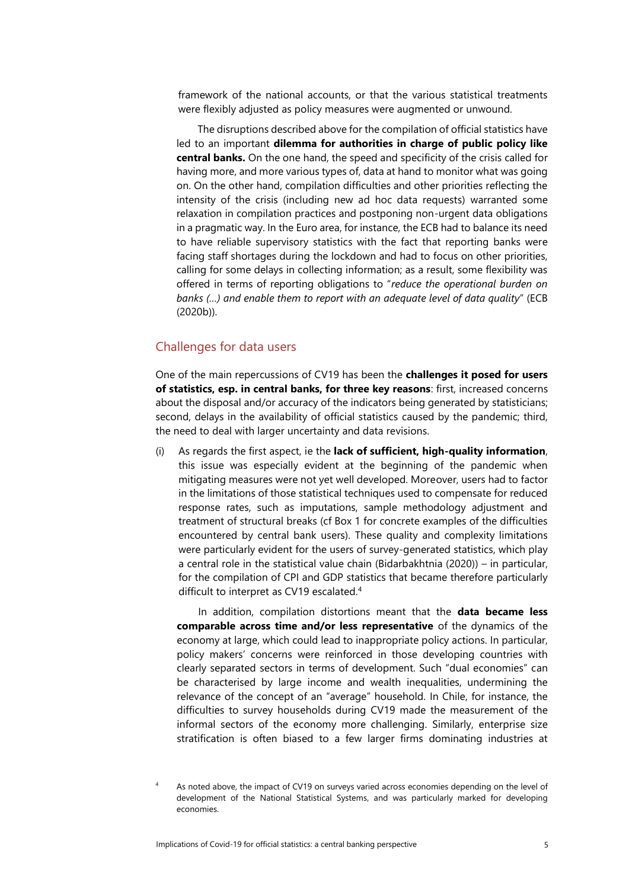framework of the national accounts, or that the various statistical treatments were flexibly adjusted as policy measures were augmented or unwound.

The disruptions described above for the compilation of official statistics have led to an important **dilemma for authorities in charge of public policy like central banks.** On the one hand, the speed and specificity of the crisis called for having more, and more various types of, data at hand to monitor what was going on. On the other hand, compilation difficulties and other priorities reflecting the intensity of the crisis (including new ad hoc data requests) warranted some relaxation in compilation practices and postponing non-urgent data obligations in a pragmatic way. In the Euro area, for instance, the ECB had to balance its need to have reliable supervisory statistics with the fact that reporting banks were facing staff shortages during the lockdown and had to focus on other priorities, calling for some delays in collecting information; as a result, some flexibility was offered in terms of reporting obligations to "*reduce the operational burden on banks (…) and enable them to report with an adequate level of data quality*" (ECB (2020b)).

#### Challenges for data users

One of the main repercussions of CV19 has been the **challenges it posed for users of statistics, esp. in central banks, for three key reasons**: first, increased concerns about the disposal and/or accuracy of the indicators being generated by statisticians; second, delays in the availability of official statistics caused by the pandemic; third, the need to deal with larger uncertainty and data revisions.

(i) As regards the first aspect, ie the **lack of sufficient, high-quality information**, this issue was especially evident at the beginning of the pandemic when mitigating measures were not yet well developed. Moreover, users had to factor in the limitations of those statistical techniques used to compensate for reduced response rates, such as imputations, sample methodology adjustment and treatment of structural breaks (cf Box 1 for concrete examples of the difficulties encountered by central bank users). These quality and complexity limitations were particularly evident for the users of survey-generated statistics, which play a central role in the statistical value chain (Bidarbakhtnia (2020)) – in particular, for the compilation of CPI and GDP statistics that became therefore particularly difficult to interpret as CV19 escalated.<sup>4</sup>

In addition, compilation distortions meant that the **data became less comparable across time and/or less representative** of the dynamics of the economy at large, which could lead to inappropriate policy actions. In particular, policy makers' concerns were reinforced in those developing countries with clearly separated sectors in terms of development. Such "dual economies" can be characterised by large income and wealth inequalities, undermining the relevance of the concept of an "average" household. In Chile, for instance, the difficulties to survey households during CV19 made the measurement of the informal sectors of the economy more challenging. Similarly, enterprise size stratification is often biased to a few larger firms dominating industries at

<sup>4</sup> As noted above, the impact of CV19 on surveys varied across economies depending on the level of development of the National Statistical Systems, and was particularly marked for developing economies.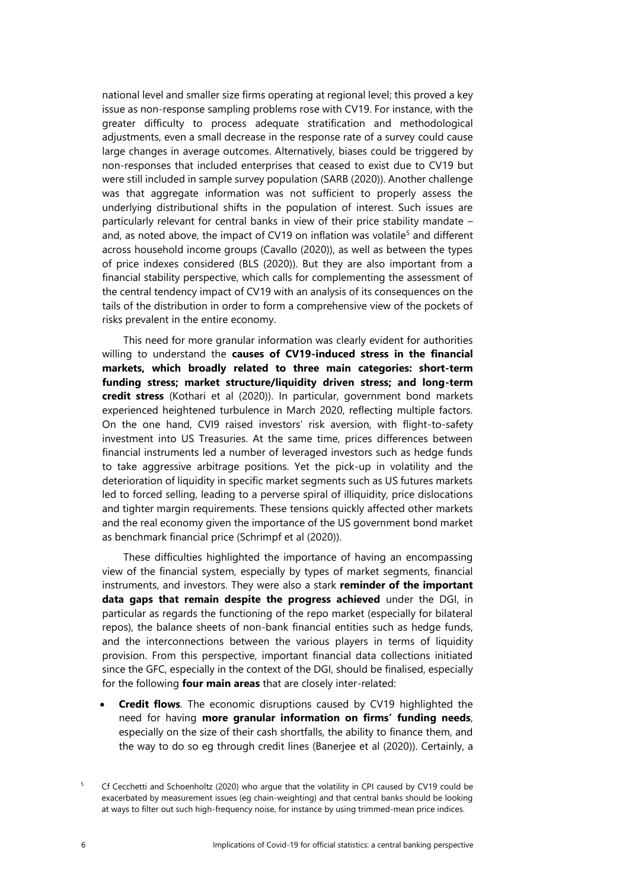national level and smaller size firms operating at regional level; this proved a key issue as non-response sampling problems rose with CV19. For instance, with the greater difficulty to process adequate stratification and methodological adjustments, even a small decrease in the response rate of a survey could cause large changes in average outcomes. Alternatively, biases could be triggered by non-responses that included enterprises that ceased to exist due to CV19 but were still included in sample survey population (SARB (2020)). Another challenge was that aggregate information was not sufficient to properly assess the underlying distributional shifts in the population of interest. Such issues are particularly relevant for central banks in view of their price stability mandate – and, as noted above, the impact of CV19 on inflation was volatile<sup>5</sup> and different across household income groups (Cavallo (2020)), as well as between the types of price indexes considered (BLS (2020)). But they are also important from a financial stability perspective, which calls for complementing the assessment of the central tendency impact of CV19 with an analysis of its consequences on the tails of the distribution in order to form a comprehensive view of the pockets of risks prevalent in the entire economy.

This need for more granular information was clearly evident for authorities willing to understand the **causes of CV19-induced stress in the financial markets, which broadly related to three main categories: short-term funding stress; market structure/liquidity driven stress; and long-term credit stress** (Kothari et al (2020)). In particular, government bond markets experienced heightened turbulence in March 2020, reflecting multiple factors. On the one hand, CVI9 raised investors' risk aversion, with flight-to-safety investment into US Treasuries. At the same time, prices differences between financial instruments led a number of leveraged investors such as hedge funds to take aggressive arbitrage positions. Yet the pick-up in volatility and the deterioration of liquidity in specific market segments such as US futures markets led to forced selling, leading to a perverse spiral of illiquidity, price dislocations and tighter margin requirements. These tensions quickly affected other markets and the real economy given the importance of the US government bond market as benchmark financial price (Schrimpf et al (2020)).

These difficulties highlighted the importance of having an encompassing view of the financial system, especially by types of market segments, financial instruments, and investors. They were also a stark **reminder of the important data gaps that remain despite the progress achieved** under the DGI, in particular as regards the functioning of the repo market (especially for bilateral repos), the balance sheets of non-bank financial entities such as hedge funds, and the interconnections between the various players in terms of liquidity provision. From this perspective, important financial data collections initiated since the GFC, especially in the context of the DGI, should be finalised, especially for the following **four main areas** that are closely inter-related:

**Credit flows**. The economic disruptions caused by CV19 highlighted the need for having **more granular information on firms' funding needs**, especially on the size of their cash shortfalls, the ability to finance them, and the way to do so eg through credit lines (Banerjee et al (2020)). Certainly, a

<sup>&</sup>lt;sup>5</sup> Cf Cecchetti and Schoenholtz (2020) who argue that the volatility in CPI caused by CV19 could be exacerbated by measurement issues (eg chain-weighting) and that central banks should be looking at ways to filter out such high-frequency noise, for instance by using trimmed-mean price indices.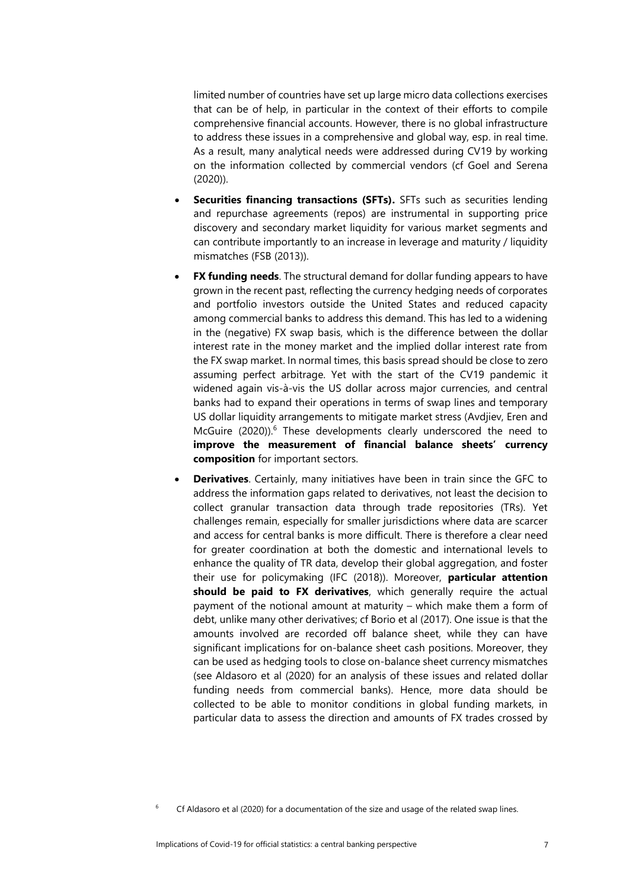limited number of countries have set up large micro data collections exercises that can be of help, in particular in the context of their efforts to compile comprehensive financial accounts. However, there is no global infrastructure to address these issues in a comprehensive and global way, esp. in real time. As a result, many analytical needs were addressed during CV19 by working on the information collected by commercial vendors (cf Goel and Serena (2020)).

- **Securities financing transactions (SFTs).** SFTs such as securities lending and repurchase agreements (repos) are instrumental in supporting price discovery and secondary market liquidity for various market segments and can contribute importantly to an increase in leverage and maturity / liquidity mismatches (FSB (2013)).
- **FX funding needs**. The structural demand for dollar funding appears to have grown in the recent past, reflecting the currency hedging needs of corporates and portfolio investors outside the United States and reduced capacity among commercial banks to address this demand. This has led to a widening in the (negative) FX swap basis, which is the difference between the dollar interest rate in the money market and the implied dollar interest rate from the FX swap market. In normal times, this basis spread should be close to zero assuming perfect arbitrage. Yet with the start of the CV19 pandemic it widened again vis-à-vis the US dollar across major currencies, and central banks had to expand their operations in terms of swap lines and temporary US dollar liquidity arrangements to mitigate market stress (Avdjiev, Eren and McGuire (2020)). <sup>6</sup> These developments clearly underscored the need to **improve the measurement of financial balance sheets' currency composition** for important sectors.
- **Derivatives**. Certainly, many initiatives have been in train since the GFC to address the information gaps related to derivatives, not least the decision to collect granular transaction data through trade repositories (TRs). Yet challenges remain, especially for smaller jurisdictions where data are scarcer and access for central banks is more difficult. There is therefore a clear need for greater coordination at both the domestic and international levels to enhance the quality of TR data, develop their global aggregation, and foster their use for policymaking (IFC (2018)). Moreover, **particular attention should be paid to FX derivatives**, which generally require the actual payment of the notional amount at maturity – which make them a form of debt, unlike many other derivatives; cf Borio et al (2017). One issue is that the amounts involved are recorded off balance sheet, while they can have significant implications for on-balance sheet cash positions. Moreover, they can be used as hedging tools to close on-balance sheet currency mismatches (see Aldasoro et al (2020) for an analysis of these issues and related dollar funding needs from commercial banks). Hence, more data should be collected to be able to monitor conditions in global funding markets, in particular data to assess the direction and amounts of FX trades crossed by

 $6$  Cf Aldasoro et al (2020) for a documentation of the size and usage of the related swap lines.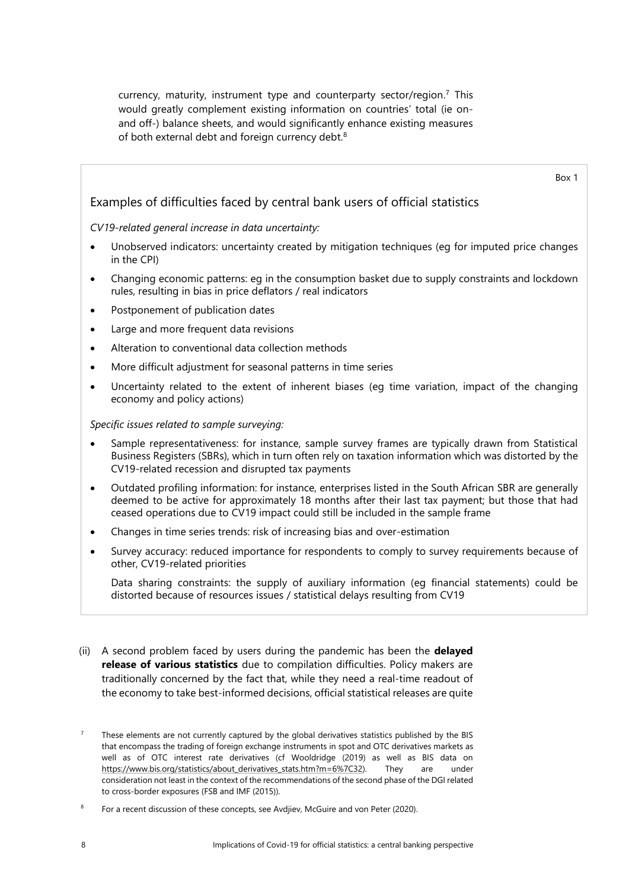currency, maturity, instrument type and counterparty sector/region. <sup>7</sup> This would greatly complement existing information on countries' total (ie onand off-) balance sheets, and would significantly enhance existing measures of both external debt and foreign currency debt.<sup>8</sup>

Box 1 Examples of difficulties faced by central bank users of official statistics *CV19-related general increase in data uncertainty:* • Unobserved indicators: uncertainty created by mitigation techniques (eg for imputed price changes in the CPI) • Changing economic patterns: eg in the consumption basket due to supply constraints and lockdown rules, resulting in bias in price deflators / real indicators Postponement of publication dates Large and more frequent data revisions Alteration to conventional data collection methods • More difficult adjustment for seasonal patterns in time series • Uncertainty related to the extent of inherent biases (eg time variation, impact of the changing economy and policy actions) *Specific issues related to sample surveying:*

- Sample representativeness: for instance, sample survey frames are typically drawn from Statistical Business Registers (SBRs), which in turn often rely on taxation information which was distorted by the CV19-related recession and disrupted tax payments
- Outdated profiling information: for instance, enterprises listed in the South African SBR are generally deemed to be active for approximately 18 months after their last tax payment; but those that had ceased operations due to CV19 impact could still be included in the sample frame
- Changes in time series trends: risk of increasing bias and over-estimation
- Survey accuracy: reduced importance for respondents to comply to survey requirements because of other, CV19-related priorities

Data sharing constraints: the supply of auxiliary information (eg financial statements) could be distorted because of resources issues / statistical delays resulting from CV19

(ii) A second problem faced by users during the pandemic has been the **delayed release of various statistics** due to compilation difficulties. Policy makers are traditionally concerned by the fact that, while they need a real-time readout of the economy to take best-informed decisions, official statistical releases are quite

<sup>7</sup> These elements are not currently captured by the global derivatives statistics published by the BIS that encompass the trading of foreign exchange instruments in spot and OTC derivatives markets as well as of OTC interest rate derivatives (cf Wooldridge (2019) as well as BIS data on [https://www.bis.org/statistics/about\\_derivatives\\_stats.htm?m=6%7C32\).](https://www.bis.org/statistics/about_derivatives_stats.htm?m=6%7C32) They are under consideration not least in the context of the recommendations of the second phase of the DGI related to cross-border exposures (FSB and IMF (2015)).

<sup>8</sup> For a recent discussion of these concepts, see Avdjiev, McGuire and von Peter (2020).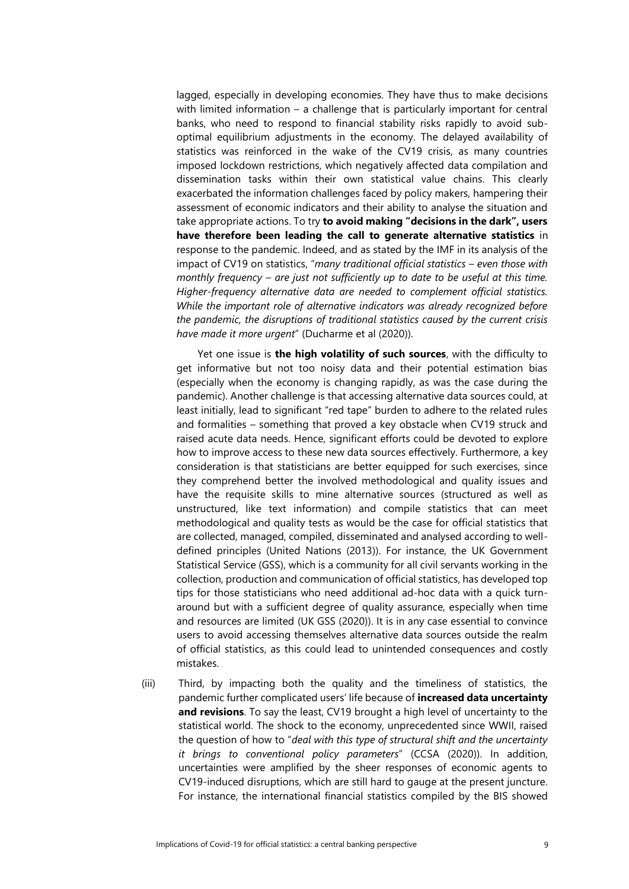lagged, especially in developing economies. They have thus to make decisions with limited information – a challenge that is particularly important for central banks, who need to respond to financial stability risks rapidly to avoid suboptimal equilibrium adjustments in the economy. The delayed availability of statistics was reinforced in the wake of the CV19 crisis, as many countries imposed lockdown restrictions, which negatively affected data compilation and dissemination tasks within their own statistical value chains. This clearly exacerbated the information challenges faced by policy makers, hampering their assessment of economic indicators and their ability to analyse the situation and take appropriate actions. To try **to avoid making "decisions in the dark", users have therefore been leading the call to generate alternative statistics** in response to the pandemic. Indeed, and as stated by the IMF in its analysis of the impact of CV19 on statistics, "*many traditional official statistics – even those with monthly frequency – are just not sufficiently up to date to be useful at this time. Higher-frequency alternative data are needed to complement official statistics. While the important role of alternative indicators was already recognized before the pandemic, the disruptions of traditional statistics caused by the current crisis have made it more urgent*" (Ducharme et al (2020)).

Yet one issue is **the high volatility of such sources**, with the difficulty to get informative but not too noisy data and their potential estimation bias (especially when the economy is changing rapidly, as was the case during the pandemic). Another challenge is that accessing alternative data sources could, at least initially, lead to significant "red tape" burden to adhere to the related rules and formalities – something that proved a key obstacle when CV19 struck and raised acute data needs. Hence, significant efforts could be devoted to explore how to improve access to these new data sources effectively. Furthermore, a key consideration is that statisticians are better equipped for such exercises, since they comprehend better the involved methodological and quality issues and have the requisite skills to mine alternative sources (structured as well as unstructured, like text information) and compile statistics that can meet methodological and quality tests as would be the case for official statistics that are collected, managed, compiled, disseminated and analysed according to welldefined principles (United Nations (2013)). For instance, the UK Government Statistical Service (GSS), which is a community for all civil servants working in the collection, production and communication of official statistics, has developed top tips for those statisticians who need additional ad-hoc data with a quick turnaround but with a sufficient degree of quality assurance, especially when time and resources are limited (UK GSS (2020)). It is in any case essential to convince users to avoid accessing themselves alternative data sources outside the realm of official statistics, as this could lead to unintended consequences and costly mistakes.

(iii) Third, by impacting both the quality and the timeliness of statistics, the pandemic further complicated users' life because of **increased data uncertainty and revisions**. To say the least, CV19 brought a high level of uncertainty to the statistical world. The shock to the economy, unprecedented since WWII, raised the question of how to "*deal with this type of structural shift and the uncertainty it brings to conventional policy parameters*" (CCSA (2020)). In addition, uncertainties were amplified by the sheer responses of economic agents to CV19-induced disruptions, which are still hard to gauge at the present juncture. For instance, the international financial statistics compiled by the BIS showed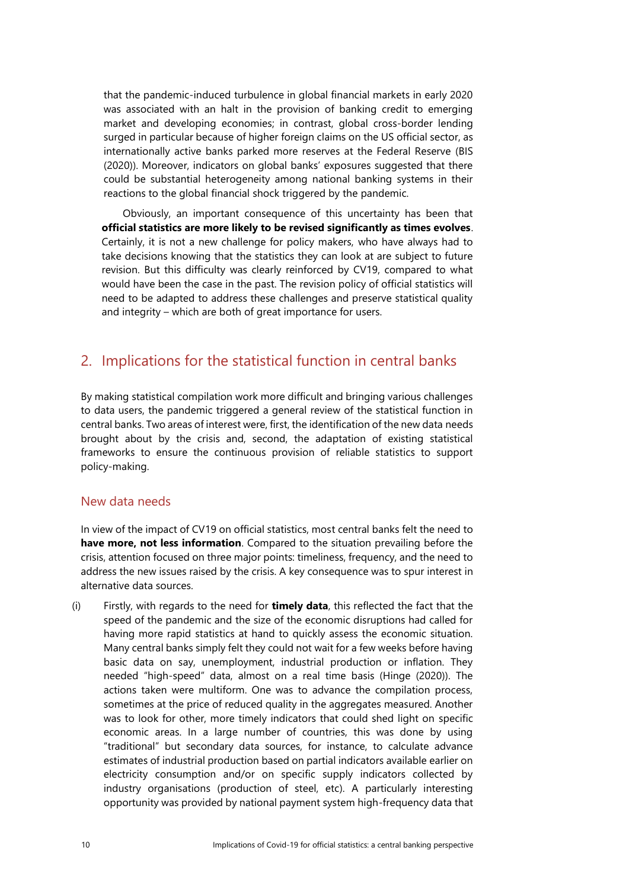that the pandemic-induced turbulence in global financial markets in early 2020 was associated with an halt in the provision of banking credit to emerging market and developing economies; in contrast, global cross-border lending surged in particular because of higher foreign claims on the US [official sector,](https://stats.bis.org/statx/srs/tseries/CBS_PUB/Q:S:5A:4R:U:C:A:A:TO1:A:US?t=B4&p=20201&m=S&c=US&x=L_CP_SECTOR.9.CL_L_SECTOR.A:O&o=w:20101.20201) as internationally active banks parked more reserves at the Federal Reserve (BIS (2020)). Moreover, indicators on global banks' exposures suggested that there could be substantial heterogeneity among national banking systems in their reactions to the global financial shock triggered by the pandemic.

Obviously, an important consequence of this uncertainty has been that **official statistics are more likely to be revised significantly as times evolves**. Certainly, it is not a new challenge for policy makers, who have always had to take decisions knowing that the statistics they can look at are subject to future revision. But this difficulty was clearly reinforced by CV19, compared to what would have been the case in the past. The revision policy of official statistics will need to be adapted to address these challenges and preserve statistical quality and integrity – which are both of great importance for users.

## 2. Implications for the statistical function in central banks

By making statistical compilation work more difficult and bringing various challenges to data users, the pandemic triggered a general review of the statistical function in central banks. Two areas of interest were, first, the identification of the new data needs brought about by the crisis and, second, the adaptation of existing statistical frameworks to ensure the continuous provision of reliable statistics to support policy-making.

#### New data needs

In view of the impact of CV19 on official statistics, most central banks felt the need to **have more, not less information**. Compared to the situation prevailing before the crisis, attention focused on three major points: timeliness, frequency, and the need to address the new issues raised by the crisis. A key consequence was to spur interest in alternative data sources.

(i) Firstly, with regards to the need for **timely data**, this reflected the fact that the speed of the pandemic and the size of the economic disruptions had called for having more rapid statistics at hand to quickly assess the economic situation. Many central banks simply felt they could not wait for a few weeks before having basic data on say, unemployment, industrial production or inflation. They needed "high-speed" data, almost on a real time basis (Hinge (2020)). The actions taken were multiform. One was to advance the compilation process, sometimes at the price of reduced quality in the aggregates measured. Another was to look for other, more timely indicators that could shed light on specific economic areas. In a large number of countries, this was done by using "traditional" but secondary data sources, for instance, to calculate advance estimates of industrial production based on partial indicators available earlier on electricity consumption and/or on specific supply indicators collected by industry organisations (production of steel, etc). A particularly interesting opportunity was provided by national payment system high-frequency data that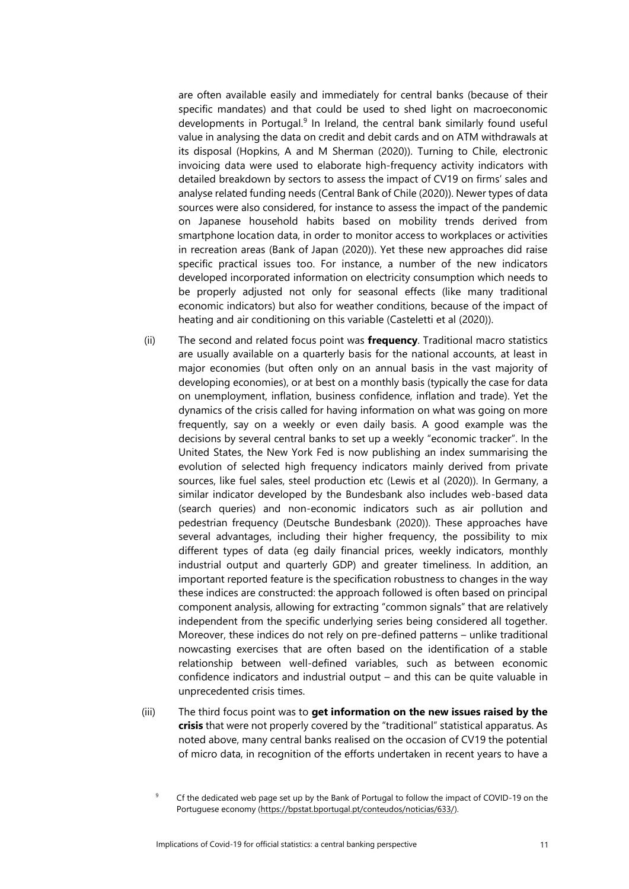are often available easily and immediately for central banks (because of their specific mandates) and that could be used to shed light on macroeconomic developments in Portugal.<sup>9</sup> In Ireland, the central bank similarly found useful value in analysing the data on credit and debit cards and on ATM withdrawals at its disposal (Hopkins, A and M Sherman (2020)). Turning to Chile, electronic invoicing data were used to elaborate high-frequency activity indicators with detailed breakdown by sectors to assess the impact of CV19 on firms' sales and analyse related funding needs (Central Bank of Chile (2020)). Newer types of data sources were also considered, for instance to assess the impact of the pandemic on Japanese household habits based on mobility trends derived from smartphone location data, in order to monitor access to workplaces or activities in recreation areas (Bank of Japan (2020)). Yet these new approaches did raise specific practical issues too. For instance, a number of the new indicators developed incorporated information on electricity consumption which needs to be properly adjusted not only for seasonal effects (like many traditional economic indicators) but also for weather conditions, because of the impact of heating and air conditioning on this variable (Casteletti et al (2020)).

- (ii) The second and related focus point was **frequency**. Traditional macro statistics are usually available on a quarterly basis for the national accounts, at least in major economies (but often only on an annual basis in the vast majority of developing economies), or at best on a monthly basis (typically the case for data on unemployment, inflation, business confidence, inflation and trade). Yet the dynamics of the crisis called for having information on what was going on more frequently, say on a weekly or even daily basis. A good example was the decisions by several central banks to set up a weekly "economic tracker". In the United States, the New York Fed is now publishing an index summarising the evolution of selected high frequency indicators mainly derived from private sources, like fuel sales, steel production etc (Lewis et al (2020)). In Germany, a similar indicator developed by the Bundesbank also includes web-based data (search queries) and non-economic indicators such as air pollution and pedestrian frequency (Deutsche Bundesbank (2020)). These approaches have several advantages, including their higher frequency, the possibility to mix different types of data (eg daily financial prices, weekly indicators, monthly industrial output and quarterly GDP) and greater timeliness. In addition, an important reported feature is the specification robustness to changes in the way these indices are constructed: the approach followed is often based on principal component analysis, allowing for extracting "common signals" that are relatively independent from the specific underlying series being considered all together. Moreover, these indices do not rely on pre-defined patterns – unlike traditional nowcasting exercises that are often based on the identification of a stable relationship between well-defined variables, such as between economic confidence indicators and industrial output – and this can be quite valuable in unprecedented crisis times.
- (iii) The third focus point was to **get information on the new issues raised by the crisis** that were not properly covered by the "traditional" statistical apparatus. As noted above, many central banks realised on the occasion of CV19 the potential of micro data, in recognition of the efforts undertaken in recent years to have a

<sup>9</sup> Cf the dedicated web page set up by the Bank of Portugal to follow the impact of COVID-19 on the Portuguese economy [\(https://bpstat.bportugal.pt/conteudos/noticias/633/\).](https://bpstat.bportugal.pt/conteudos/noticias/633/)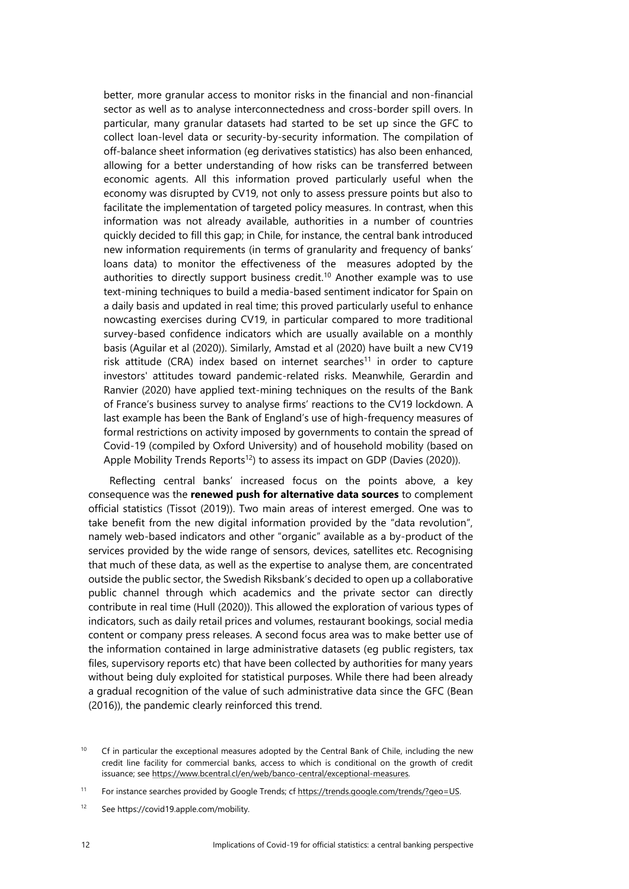better, more granular access to monitor risks in the financial and non-financial sector as well as to analyse interconnectedness and cross-border spill overs. In particular, many granular datasets had started to be set up since the GFC to collect loan-level data or security-by-security information. The compilation of off-balance sheet information (eg derivatives statistics) has also been enhanced, allowing for a better understanding of how risks can be transferred between economic agents. All this information proved particularly useful when the economy was disrupted by CV19, not only to assess pressure points but also to facilitate the implementation of targeted policy measures. In contrast, when this information was not already available, authorities in a number of countries quickly decided to fill this gap; in Chile, for instance, the central bank introduced new information requirements (in terms of granularity and frequency of banks' loans data) to monitor the effectiveness of the measures adopted by the authorities to directly support business credit. <sup>10</sup> Another example was to use text-mining techniques to build a media-based sentiment indicator for Spain on a daily basis and updated in real time; this proved particularly useful to enhance nowcasting exercises during CV19, in particular compared to more traditional survey-based confidence indicators which are usually available on a monthly basis (Aguilar et al (2020)). Similarly, Amstad et al (2020) have built a new CV19 risk attitude (CRA) index based on internet searches<sup>11</sup> in order to capture investors' attitudes toward pandemic-related risks. Meanwhile, Gerardin and Ranvier (2020) have applied text-mining techniques on the results of the Bank of France's business survey to analyse firms' reactions to the CV19 lockdown. A last example has been the Bank of England's use of high-frequency measures of formal restrictions on activity imposed by governments to contain the spread of Covid-19 (compiled by Oxford University) and of household mobility (based on Apple Mobility Trends Reports<sup>12</sup>) to assess its impact on GDP (Davies (2020)).

Reflecting central banks' increased focus on the points above, a key consequence was the **renewed push for alternative data sources** to complement official statistics (Tissot (2019)). Two main areas of interest emerged. One was to take benefit from the new digital information provided by the "data revolution", namely web-based indicators and other "organic" available as a by-product of the services provided by the wide range of sensors, devices, satellites etc. Recognising that much of these data, as well as the expertise to analyse them, are concentrated outside the public sector, the Swedish Riksbank's decided to open up a collaborative public channel through which academics and the private sector can directly contribute in real time (Hull (2020)). This allowed the exploration of various types of indicators, such as daily retail prices and volumes, restaurant bookings, social media content or company press releases. A second focus area was to make better use of the information contained in large administrative datasets (eg public registers, tax files, supervisory reports etc) that have been collected by authorities for many years without being duly exploited for statistical purposes. While there had been already a gradual recognition of the value of such administrative data since the GFC (Bean (2016)), the pandemic clearly reinforced this trend.

<sup>&</sup>lt;sup>10</sup> Cf in particular the exceptional measures adopted by the Central Bank of Chile, including the new credit line facility for commercial banks, access to which is conditional on the growth of credit issuance; see [https://www.bcentral.cl/en/web/banco-central/exceptional-measures.](https://www.bcentral.cl/en/web/banco-central/exceptional-measures)

<sup>&</sup>lt;sup>11</sup> For instance searches provided by Google Trends; cf [https://trends.google.com/trends/?geo=US.](https://trends.google.com/trends/?geo=US)

<sup>12</sup> Se[e https://covid19.apple.com/mobility.](https://covid19.apple.com/mobility)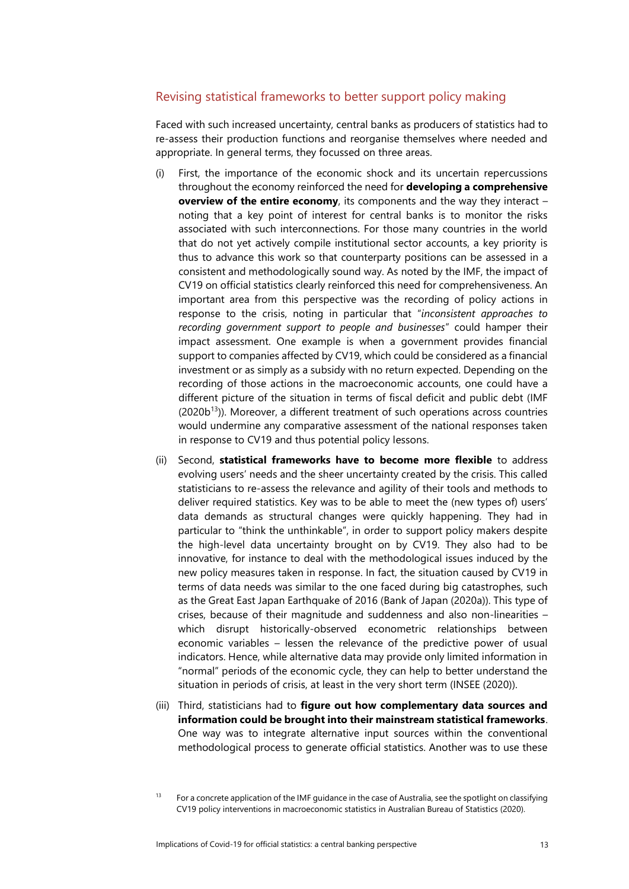#### Revising statistical frameworks to better support policy making

Faced with such increased uncertainty, central banks as producers of statistics had to re-assess their production functions and reorganise themselves where needed and appropriate. In general terms, they focussed on three areas.

- (i) First, the importance of the economic shock and its uncertain repercussions throughout the economy reinforced the need for **developing a comprehensive overview of the entire economy**, its components and the way they interact – noting that a key point of interest for central banks is to monitor the risks associated with such interconnections. For those many countries in the world that do not yet actively compile institutional sector accounts, a key priority is thus to advance this work so that counterparty positions can be assessed in a consistent and methodologically sound way. As noted by the IMF, the impact of CV19 on official statistics clearly reinforced this need for comprehensiveness. An important area from this perspective was the recording of policy actions in response to the crisis, noting in particular that "*inconsistent approaches to recording government support to people and businesses*" could hamper their impact assessment. One example is when a government provides financial support to companies affected by CV19, which could be considered as a financial investment or as simply as a subsidy with no return expected. Depending on the recording of those actions in the macroeconomic accounts, one could have a different picture of the situation in terms of fiscal deficit and public debt (IMF  $(2020b<sup>13</sup>)$ ). Moreover, a different treatment of such operations across countries would undermine any comparative assessment of the national responses taken in response to CV19 and thus potential policy lessons.
- (ii) Second, **statistical frameworks have to become more flexible** to address evolving users' needs and the sheer uncertainty created by the crisis. This called statisticians to re-assess the relevance and agility of their tools and methods to deliver required statistics. Key was to be able to meet the (new types of) users' data demands as structural changes were quickly happening. They had in particular to "think the unthinkable", in order to support policy makers despite the high-level data uncertainty brought on by CV19. They also had to be innovative, for instance to deal with the methodological issues induced by the new policy measures taken in response. In fact, the situation caused by CV19 in terms of data needs was similar to the one faced during big catastrophes, such as the Great East Japan Earthquake of 2016 (Bank of Japan (2020a)). This type of crises, because of their magnitude and suddenness and also non-linearities – which disrupt historically-observed econometric relationships between economic variables – lessen the relevance of the predictive power of usual indicators. Hence, while alternative data may provide only limited information in "normal" periods of the economic cycle, they can help to better understand the situation in periods of crisis, at least in the very short term (INSEE (2020)).
- (iii) Third, statisticians had to **figure out how complementary data sources and information could be brought into their mainstream statistical frameworks**. One way was to integrate alternative input sources within the conventional methodological process to generate official statistics. Another was to use these

<sup>&</sup>lt;sup>13</sup> For a concrete application of the IMF guidance in the case of Australia, see the spotlight on classifying CV19 policy interventions in macroeconomic statistics in Australian Bureau of Statistics (2020).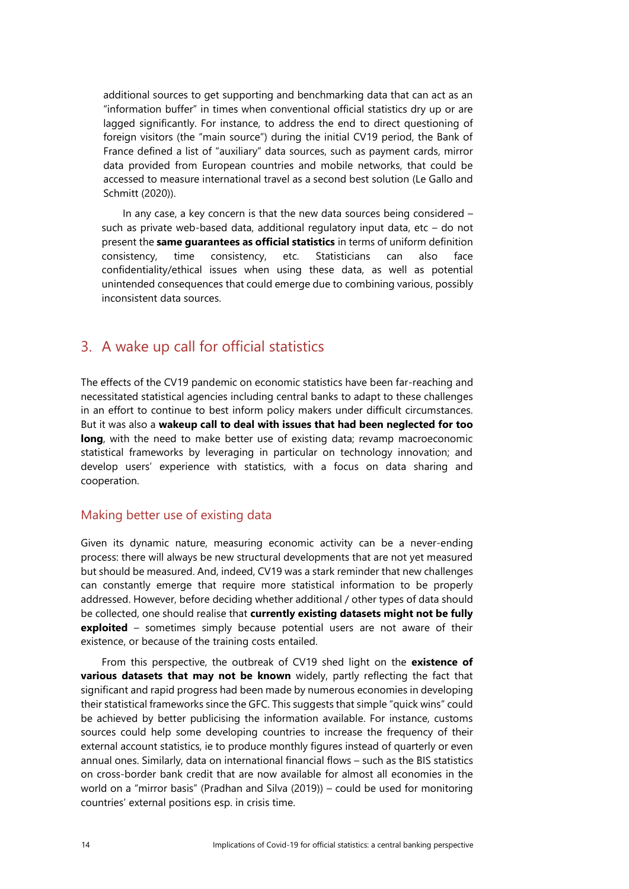additional sources to get supporting and benchmarking data that can act as an "information buffer" in times when conventional official statistics dry up or are lagged significantly. For instance, to address the end to direct questioning of foreign visitors (the "main source") during the initial CV19 period, the Bank of France defined a list of "auxiliary" data sources, such as payment cards, mirror data provided from European countries and mobile networks, that could be accessed to measure international travel as a second best solution (Le Gallo and Schmitt (2020)).

In any case, a key concern is that the new data sources being considered – such as private web-based data, additional regulatory input data, etc – do not present the **same guarantees as official statistics** in terms of uniform definition consistency, time consistency, etc. Statisticians can also face confidentiality/ethical issues when using these data, as well as potential unintended consequences that could emerge due to combining various, possibly inconsistent data sources.

## 3. A wake up call for official statistics

The effects of the CV19 pandemic on economic statistics have been far-reaching and necessitated statistical agencies including central banks to adapt to these challenges in an effort to continue to best inform policy makers under difficult circumstances. But it was also a **wakeup call to deal with issues that had been neglected for too long**, with the need to make better use of existing data; revamp macroeconomic statistical frameworks by leveraging in particular on technology innovation; and develop users' experience with statistics, with a focus on data sharing and cooperation.

#### Making better use of existing data

Given its dynamic nature, measuring economic activity can be a never-ending process: there will always be new structural developments that are not yet measured but should be measured. And, indeed, CV19 was a stark reminder that new challenges can constantly emerge that require more statistical information to be properly addressed. However, before deciding whether additional / other types of data should be collected, one should realise that **currently existing datasets might not be fully exploited** – sometimes simply because potential users are not aware of their existence, or because of the training costs entailed.

From this perspective, the outbreak of CV19 shed light on the **existence of various datasets that may not be known** widely, partly reflecting the fact that significant and rapid progress had been made by numerous economies in developing their statistical frameworks since the GFC. This suggests that simple "quick wins" could be achieved by better publicising the information available. For instance, customs sources could help some developing countries to increase the frequency of their external account statistics, ie to produce monthly figures instead of quarterly or even annual ones. Similarly, data on international financial flows – such as the BIS statistics on cross-border bank credit that are now available for almost all economies in the world on a "mirror basis" (Pradhan and Silva (2019)) – could be used for monitoring countries' external positions esp. in crisis time.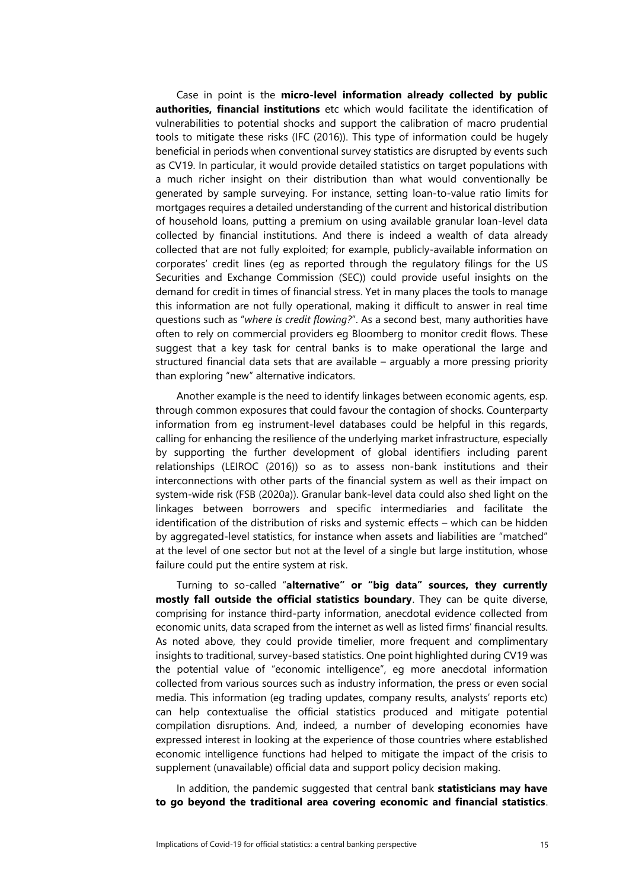Case in point is the **micro-level information already collected by public authorities, financial institutions** etc which would facilitate the identification of vulnerabilities to potential shocks and support the calibration of macro prudential tools to mitigate these risks (IFC (2016)). This type of information could be hugely beneficial in periods when conventional survey statistics are disrupted by events such as CV19. In particular, it would provide detailed statistics on target populations with a much richer insight on their distribution than what would conventionally be generated by sample surveying. For instance, setting loan-to-value ratio limits for mortgages requires a detailed understanding of the current and historical distribution of household loans, putting a premium on using available granular loan-level data collected by financial institutions. And there is indeed a wealth of data already collected that are not fully exploited; for example, publicly-available information on corporates' credit lines (eg as reported through the regulatory filings for the US Securities and Exchange Commission (SEC)) could provide useful insights on the demand for credit in times of financial stress. Yet in many places the tools to manage this information are not fully operational, making it difficult to answer in real time questions such as "*where is credit flowing?*". As a second best, many authorities have often to rely on commercial providers eg Bloomberg to monitor credit flows. These suggest that a key task for central banks is to make operational the large and structured financial data sets that are available – arguably a more pressing priority than exploring "new" alternative indicators.

Another example is the need to identify linkages between economic agents, esp. through common exposures that could favour the contagion of shocks. Counterparty information from eg instrument-level databases could be helpful in this regards, calling for enhancing the resilience of the underlying market infrastructure, especially by supporting the further development of global identifiers including parent relationships (LEIROC (2016)) so as to assess non-bank institutions and their interconnections with other parts of the financial system as well as their impact on system-wide risk (FSB (2020a)). Granular bank-level data could also shed light on the linkages between borrowers and specific intermediaries and facilitate the identification of the distribution of risks and systemic effects – which can be hidden by aggregated-level statistics, for instance when assets and liabilities are "matched" at the level of one sector but not at the level of a single but large institution, whose failure could put the entire system at risk.

Turning to so-called "**alternative" or "big data" sources, they currently mostly fall outside the official statistics boundary**. They can be quite diverse, comprising for instance third-party information, anecdotal evidence collected from economic units, data scraped from the internet as well as listed firms' financial results. As noted above, they could provide timelier, more frequent and complimentary insights to traditional, survey-based statistics. One point highlighted during CV19 was the potential value of "economic intelligence", eg more anecdotal information collected from various sources such as industry information, the press or even social media. This information (eg trading updates, company results, analysts' reports etc) can help contextualise the official statistics produced and mitigate potential compilation disruptions. And, indeed, a number of developing economies have expressed interest in looking at the experience of those countries where established economic intelligence functions had helped to mitigate the impact of the crisis to supplement (unavailable) official data and support policy decision making.

In addition, the pandemic suggested that central bank **statisticians may have to go beyond the traditional area covering economic and financial statistics**.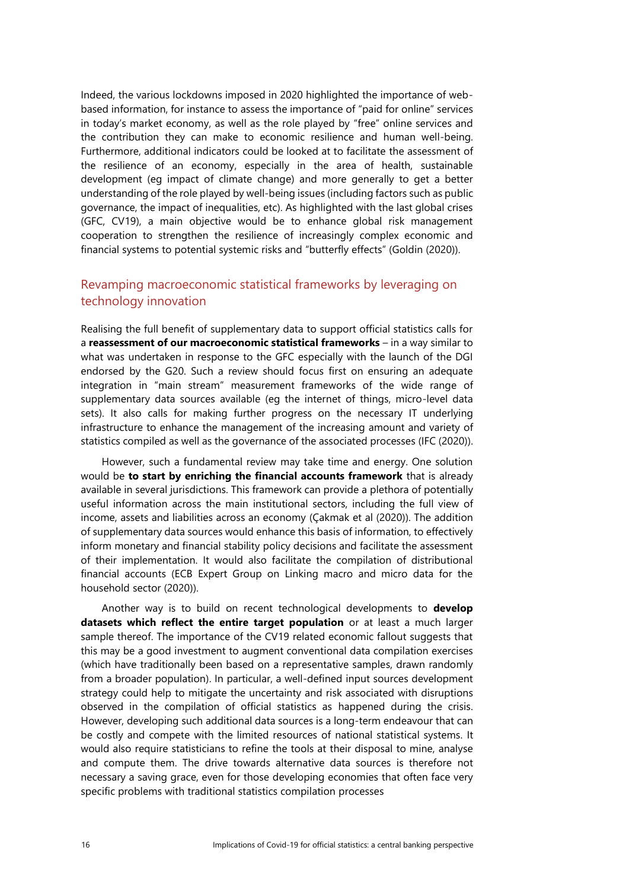Indeed, the various lockdowns imposed in 2020 highlighted the importance of webbased information, for instance to assess the importance of "paid for online" services in today's market economy, as well as the role played by "free" online services and the contribution they can make to economic resilience and human well-being. Furthermore, additional indicators could be looked at to facilitate the assessment of the resilience of an economy, especially in the area of health, sustainable development (eg impact of climate change) and more generally to get a better understanding of the role played by well-being issues (including factors such as public governance, the impact of inequalities, etc). As highlighted with the last global crises (GFC, CV19), a main objective would be to enhance global risk management cooperation to strengthen the resilience of increasingly complex economic and financial systems to potential systemic risks and "butterfly effects" (Goldin (2020)).

### Revamping macroeconomic statistical frameworks by leveraging on technology innovation

Realising the full benefit of supplementary data to support official statistics calls for a **reassessment of our macroeconomic statistical frameworks** – in a way similar to what was undertaken in response to the GFC especially with the launch of the DGI endorsed by the G20. Such a review should focus first on ensuring an adequate integration in "main stream" measurement frameworks of the wide range of supplementary data sources available (eg the internet of things, micro-level data sets). It also calls for making further progress on the necessary IT underlying infrastructure to enhance the management of the increasing amount and variety of statistics compiled as well as the governance of the associated processes (IFC (2020)).

However, such a fundamental review may take time and energy. One solution would be **to start by enriching the financial accounts framework** that is already available in several jurisdictions. This framework can provide a plethora of potentially useful information across the main institutional sectors, including the full view of income, assets and liabilities across an economy (Çakmak et al (2020)). The addition of supplementary data sources would enhance this basis of information, to effectively inform monetary and financial stability policy decisions and facilitate the assessment of their implementation. It would also facilitate the compilation of distributional financial accounts (ECB Expert Group on Linking macro and micro data for the household sector (2020)).

Another way is to build on recent technological developments to **develop datasets which reflect the entire target population** or at least a much larger sample thereof. The importance of the CV19 related economic fallout suggests that this may be a good investment to augment conventional data compilation exercises (which have traditionally been based on a representative samples, drawn randomly from a broader population). In particular, a well-defined input sources development strategy could help to mitigate the uncertainty and risk associated with disruptions observed in the compilation of official statistics as happened during the crisis. However, developing such additional data sources is a long-term endeavour that can be costly and compete with the limited resources of national statistical systems. It would also require statisticians to refine the tools at their disposal to mine, analyse and compute them. The drive towards alternative data sources is therefore not necessary a saving grace, even for those developing economies that often face very specific problems with traditional statistics compilation processes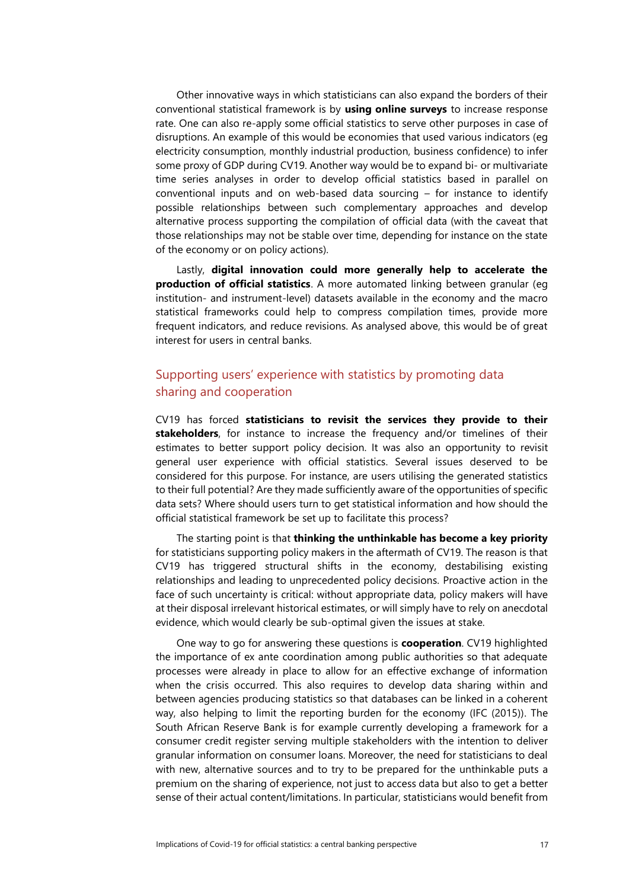Other innovative ways in which statisticians can also expand the borders of their conventional statistical framework is by **using online surveys** to increase response rate. One can also re-apply some official statistics to serve other purposes in case of disruptions. An example of this would be economies that used various indicators (eg electricity consumption, monthly industrial production, business confidence) to infer some proxy of GDP during CV19. Another way would be to expand bi- or multivariate time series analyses in order to develop official statistics based in parallel on conventional inputs and on web-based data sourcing – for instance to identify possible relationships between such complementary approaches and develop alternative process supporting the compilation of official data (with the caveat that those relationships may not be stable over time, depending for instance on the state of the economy or on policy actions).

Lastly, **digital innovation could more generally help to accelerate the production of official statistics**. A more automated linking between granular (eg institution- and instrument-level) datasets available in the economy and the macro statistical frameworks could help to compress compilation times, provide more frequent indicators, and reduce revisions. As analysed above, this would be of great interest for users in central banks.

## Supporting users' experience with statistics by promoting data sharing and cooperation

CV19 has forced **statisticians to revisit the services they provide to their stakeholders**, for instance to increase the frequency and/or timelines of their estimates to better support policy decision. It was also an opportunity to revisit general user experience with official statistics. Several issues deserved to be considered for this purpose. For instance, are users utilising the generated statistics to their full potential? Are they made sufficiently aware of the opportunities of specific data sets? Where should users turn to get statistical information and how should the official statistical framework be set up to facilitate this process?

The starting point is that **thinking the unthinkable has become a key priority** for statisticians supporting policy makers in the aftermath of CV19. The reason is that CV19 has triggered structural shifts in the economy, destabilising existing relationships and leading to unprecedented policy decisions. Proactive action in the face of such uncertainty is critical: without appropriate data, policy makers will have at their disposal irrelevant historical estimates, or will simply have to rely on anecdotal evidence, which would clearly be sub-optimal given the issues at stake.

One way to go for answering these questions is **cooperation**. CV19 highlighted the importance of ex ante coordination among public authorities so that adequate processes were already in place to allow for an effective exchange of information when the crisis occurred. This also requires to develop data sharing within and between agencies producing statistics so that databases can be linked in a coherent way, also helping to limit the reporting burden for the economy (IFC (2015)). The South African Reserve Bank is for example currently developing a framework for a consumer credit register serving multiple stakeholders with the intention to deliver granular information on consumer loans. Moreover, the need for statisticians to deal with new, alternative sources and to try to be prepared for the unthinkable puts a premium on the sharing of experience, not just to access data but also to get a better sense of their actual content/limitations. In particular, statisticians would benefit from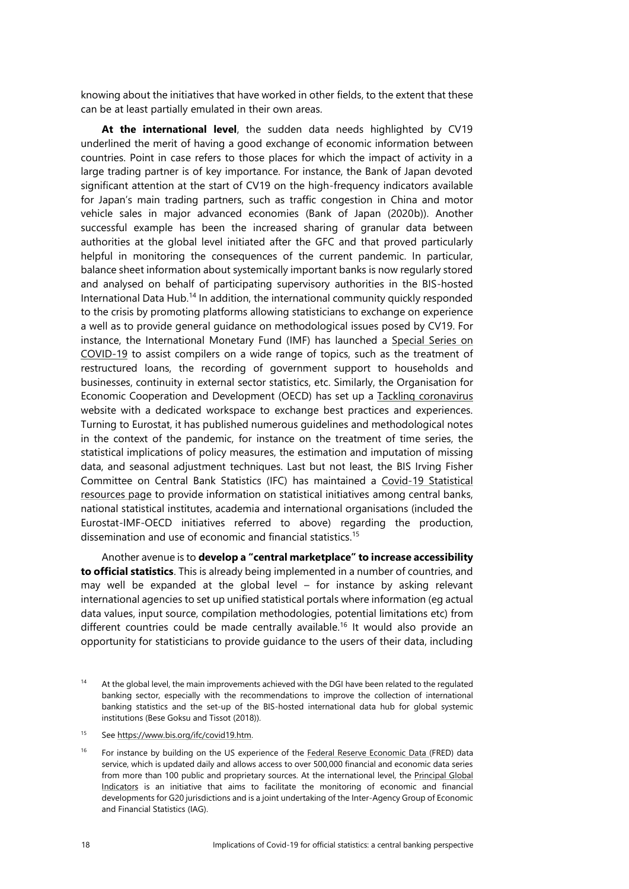knowing about the initiatives that have worked in other fields, to the extent that these can be at least partially emulated in their own areas.

**At the international level**, the sudden data needs highlighted by CV19 underlined the merit of having a good exchange of economic information between countries. Point in case refers to those places for which the impact of activity in a large trading partner is of key importance. For instance, the Bank of Japan devoted significant attention at the start of CV19 on the high-frequency indicators available for Japan's main trading partners, such as traffic congestion in China and motor vehicle sales in major advanced economies (Bank of Japan (2020b)). Another successful example has been the increased sharing of granular data between authorities at the global level initiated after the GFC and that proved particularly helpful in monitoring the consequences of the current pandemic. In particular, balance sheet information about systemically important banks is now regularly stored and analysed on behalf of participating supervisory authorities in the BIS-hosted International Data Hub.<sup>14</sup> In addition, the international community quickly responded to the crisis by promoting platforms allowing statisticians to exchange on experience a well as to provide general guidance on methodological issues posed by CV19. For instance, the International Monetary Fund (IMF) has launched a [Special Series on](https://www.imf.org/en/Publications/SPROLLs/covid19-special-notes#STA)  [COVID-19](https://www.imf.org/en/Publications/SPROLLs/covid19-special-notes#STA) to assist compilers on a wide range of topics, such as the treatment of restructured loans, the recording of government support to households and businesses, continuity in external sector statistics, etc. Similarly, the Organisation for Economic Cooperation and Development (OECD) has set up a [Tackling coronavirus](https://www.oecd.org/coronavirus/en/) website with a dedicated workspace to exchange best practices and experiences. Turning to Eurostat, it has published numerous guidelines and methodological notes in the context of the pandemic, for instance on the treatment of time series, the statistical implications of policy measures, the estimation and imputation of missing data, and seasonal adjustment techniques. Last but not least, the BIS Irving Fisher Committee on Central Bank Statistics (IFC) has maintained a [Covid-19 Statistical](https://www.bis.org/ifc/covid19.htm)  [resources page](https://www.bis.org/ifc/covid19.htm) to provide information on statistical initiatives among central banks, national statistical institutes, academia and international organisations (included the Eurostat-IMF-OECD initiatives referred to above) regarding the production, dissemination and use of economic and financial statistics.<sup>15</sup>

Another avenue is to **develop a "central marketplace" to increase accessibility to official statistics**. This is already being implemented in a number of countries, and may well be expanded at the global level – for instance by asking relevant international agencies to set up unified statistical portals where information (eg actual data values, input source, compilation methodologies, potential limitations etc) from different countries could be made centrally available. <sup>16</sup> It would also provide an opportunity for statisticians to provide guidance to the users of their data, including

<sup>15</sup> Se[e https://www.bis.org/ifc/covid19.htm.](https://www.bis.org/ifc/covid19.htm)

<sup>16</sup> For instance by building on the US experience of the [Federal Reserve Economic Data \(FRED\)](https://fred.stlouisfed.org/) data service, which is updated daily and allows access to over 500,000 financial and economic data series from more than 100 public and proprietary sources. At the international level, the Principal Global [Indicators](https://www.principalglobalindicators.org/?sk=E30FAADE-77D0-4F8E-953C-C48DD9D14735) is an initiative that aims to facilitate the monitoring of economic and financial developments for G20 jurisdictions and is a joint undertaking of the Inter-Agency Group of Economic and Financial Statistics (IAG).

<sup>14</sup> At the global level, the main improvements achieved with the DGI have been related to the regulated banking sector, especially with the recommendations to improve the collection of international banking statistics and the set-up of the BIS-hosted international data hub for global systemic institutions (Bese Goksu and Tissot (2018)).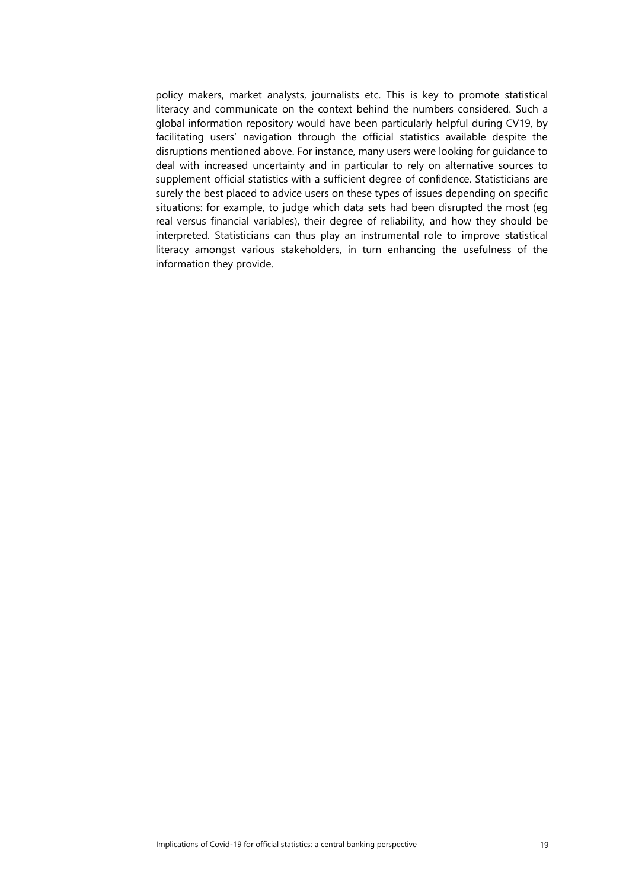policy makers, market analysts, journalists etc. This is key to promote statistical literacy and communicate on the context behind the numbers considered. Such a global information repository would have been particularly helpful during CV19, by facilitating users' navigation through the official statistics available despite the disruptions mentioned above. For instance, many users were looking for guidance to deal with increased uncertainty and in particular to rely on alternative sources to supplement official statistics with a sufficient degree of confidence. Statisticians are surely the best placed to advice users on these types of issues depending on specific situations: for example, to judge which data sets had been disrupted the most (eg real versus financial variables), their degree of reliability, and how they should be interpreted. Statisticians can thus play an instrumental role to improve statistical literacy amongst various stakeholders, in turn enhancing the usefulness of the information they provide.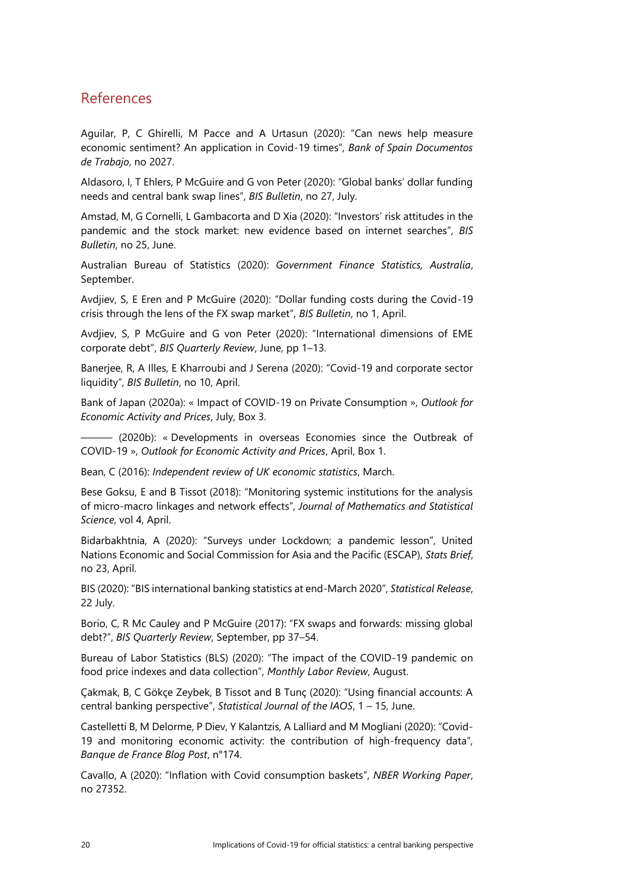## References

Aguilar, P, C Ghirelli, M Pacce and A Urtasun (2020): "Can news help measure economic sentiment? An application in Covid-19 times", *Bank of Spain Documentos de Trabajo*, no 2027.

Aldasoro, I, T Ehlers, P McGuire and G von Peter (2020): "Global banks' dollar funding needs and central bank swap lines", *BIS Bulletin*, no 27, July.

Amstad, M, G Cornelli, L Gambacorta and D Xia (2020): "Investors' risk attitudes in the pandemic and the stock market: new evidence based on internet searches", *BIS Bulletin*, no 25, June.

Australian Bureau of Statistics (2020): *Government Finance Statistics, Australia*, September.

Avdjiev, S, E Eren and P McGuire (2020): "Dollar funding costs during the Covid-19 crisis through the lens of the FX swap market", *BIS Bulletin*, no 1, April.

Avdjiev, S, P McGuire and G von Peter (2020): "International dimensions of EME corporate debt", *BIS Quarterly Review*, June, pp 1–13.

Banerjee, R, A Illes, E Kharroubi and J Serena (2020): "Covid-19 and corporate sector liquidity", *BIS Bulletin*, no 10, April.

Bank of Japan (2020a): « Impact of COVID-19 on Private Consumption », *Outlook for Economic Activity and Prices*, July, Box 3.

 $-$  (2020b): « Developments in overseas Economies since the Outbreak of COVID-19 », *Outlook for Economic Activity and Prices*, April, Box 1.

Bean, C (2016): *Independent review of UK economic statistics*, March.

Bese Goksu, E and B Tissot (2018): "Monitoring systemic institutions for the analysis of micro-macro linkages and network effects", *Journal of Mathematics and Statistical Science*, vol 4, April.

Bidarbakhtnia, A (2020): "Surveys under Lockdown; a pandemic lesson", United Nations Economic and Social Commission for Asia and the Pacific (ESCAP), *Stats Brief*, no 23, April.

BIS (2020): "BIS international banking statistics at end-March 2020", *Statistical Release*, 22 July.

Borio, C, R Mc Cauley and P McGuire (2017): "FX swaps and forwards: missing global debt?", *BIS Quarterly Review*, September, pp 37–54.

Bureau of Labor Statistics (BLS) (2020): "The impact of the COVID-19 pandemic on food price indexes and data collection", *Monthly Labor Review*, August.

Çakmak, B, C Gökçe Zeybek, B Tissot and B Tunç (2020): "Using financial accounts: A central banking perspective", *Statistical Journal of the IAOS*, 1 – 15, June.

Castelletti B, M Delorme, P Diev, Y Kalantzis, A Lalliard and M Mogliani (2020): "Covid-19 and monitoring economic activity: the contribution of high-frequency data", *Banque de France Blog Post*, n°174.

Cavallo, A (2020): "Inflation with Covid consumption baskets", *NBER Working Paper*, no 27352.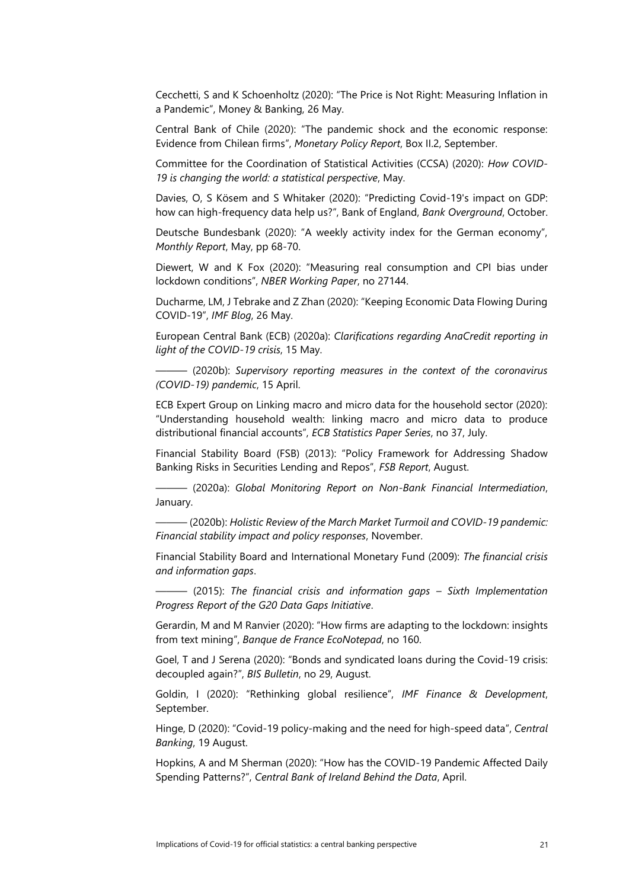Cecchetti, S and K Schoenholtz (2020): "The Price is Not Right: Measuring Inflation in a Pandemic", Money & Banking, 26 May.

Central Bank of Chile (2020): "The pandemic shock and the economic response: Evidence from Chilean firms", *Monetary Policy Report*, Box II.2, September.

Committee for the Coordination of Statistical Activities (CCSA) (2020): *How COVID-19 is changing the world: a statistical perspective*, May.

Davies, O, S Kösem and S Whitaker (2020): "Predicting Covid-19's impact on GDP: how can high-frequency data help us?", Bank of England, *Bank Overground*, October.

Deutsche Bundesbank (2020): "A weekly activity index for the German economy", *Monthly Report*, May, pp 68-70.

Diewert, W and K Fox (2020): "Measuring real consumption and CPI bias under lockdown conditions", *NBER Working Paper*, no 27144.

Ducharme, LM, J Tebrake and Z Zhan (2020): "Keeping Economic Data Flowing During COVID-19", *IMF Blog*, 26 May.

European Central Bank (ECB) (2020a): *Clarifications regarding AnaCredit reporting in light of the COVID-19 crisis*, 15 May.

——— (2020b): *Supervisory reporting measures in the context of the coronavirus (COVID-19) pandemic*, 15 April.

ECB Expert Group on Linking macro and micro data for the household sector (2020): "Understanding household wealth: linking macro and micro data to produce distributional financial accounts", *ECB Statistics Paper Series*, no 37, July.

Financial Stability Board (FSB) (2013): "Policy Framework for Addressing Shadow Banking Risks in Securities Lending and Repos", *FSB Report*, August.

——— (2020a): *Global Monitoring Report on Non-Bank Financial Intermediation*, January.

——— (2020b): *Holistic Review of the March Market Turmoil and COVID-19 pandemic: Financial stability impact and policy responses*, November.

Financial Stability Board and International Monetary Fund (2009): *The financial crisis and information gaps*.

——— (2015): *The financial crisis and information gaps – Sixth Implementation Progress Report of the G20 Data Gaps Initiative*.

Gerardin, M and M Ranvier (2020): "How firms are adapting to the lockdown: insights from text mining", *Banque de France EcoNotepad*, no 160.

Goel, T and J Serena (2020): "Bonds and syndicated loans during the Covid-19 crisis: decoupled again?", *BIS Bulletin*, no 29, August.

Goldin, I (2020): "Rethinking global resilience", *IMF Finance & Development*, September.

Hinge, D (2020): "Covid-19 policy-making and the need for high-speed data", *Central Banking*, 19 August.

Hopkins, A and M Sherman (2020): "How has the COVID-19 Pandemic Affected Daily Spending Patterns?", *Central Bank of Ireland Behind the Data*, April.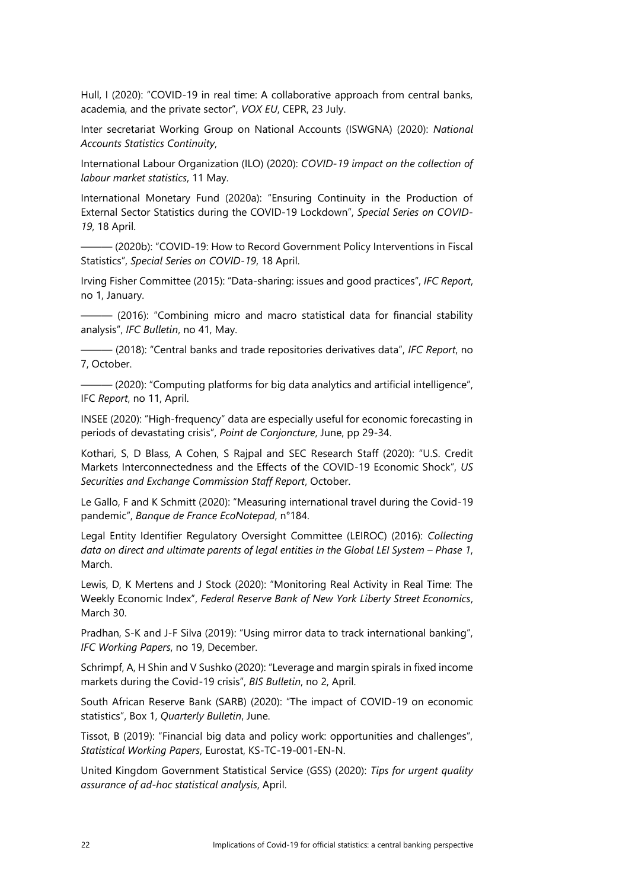Hull, I (2020): "COVID-19 in real time: A collaborative approach from central banks, academia, and the private sector", *VOX EU*, CEPR, 23 July.

Inter secretariat Working Group on National Accounts (ISWGNA) (2020): *National Accounts Statistics Continuity*,

International Labour Organization (ILO) (2020): *COVID-19 impact on the collection of labour market statistics*, 11 May.

International Monetary Fund (2020a): "Ensuring Continuity in the Production of External Sector Statistics during the COVID-19 Lockdown", *Special Series on COVID-19*, 18 April.

——— (2020b): "COVID-19: How to Record Government Policy Interventions in Fiscal Statistics", *Special Series on COVID-19*, 18 April.

Irving Fisher Committee (2015): "Data-sharing: issues and good practices", *IFC Report*, no 1, January.

——— (2016): "Combining micro and macro statistical data for financial stability analysis", *IFC Bulletin*, no 41, May.

——— (2018): "Central banks and trade repositories derivatives data", *IFC Report*, no 7, October.

——— (2020): "Computing platforms for big data analytics and artificial intelligence", IFC *Report*, no 11, April.

INSEE (2020): "High-frequency" data are especially useful for economic forecasting in periods of devastating crisis", *Point de Conjoncture*, June, pp 29-34.

Kothari, S, D Blass, A Cohen, S Rajpal and SEC Research Staff (2020): "U.S. Credit Markets Interconnectedness and the Effects of the COVID-19 Economic Shock", *US Securities and Exchange Commission Staff Report*, October.

Le Gallo, F and K Schmitt (2020): "Measuring international travel during the Covid-19 pandemic", *Banque de France EcoNotepad*, n°184.

Legal Entity Identifier Regulatory Oversight Committee (LEIROC) (2016): *Collecting data on direct and ultimate parents of legal entities in the Global LEI System – Phase 1,* March.

Lewis, D, K Mertens and J Stock (2020): "Monitoring Real Activity in Real Time: The Weekly Economic Index", *Federal Reserve Bank of New York Liberty Street Economics*, March 30.

Pradhan, S-K and J-F Silva (2019): "Using mirror data to track international banking", *IFC Working Papers*, no 19, December.

Schrimpf, A, H Shin and V Sushko (2020): "Leverage and margin spirals in fixed income markets during the Covid-19 crisis", *BIS Bulletin*, no 2, April.

South African Reserve Bank (SARB) (2020): "The impact of COVID-19 on economic statistics", Box 1, *Quarterly Bulletin*, June.

Tissot, B (2019): "Financial big data and policy work: opportunities and challenges", *Statistical Working Papers*, Eurostat, KS-TC-19-001-EN-N.

United Kingdom Government Statistical Service (GSS) (2020): *Tips for urgent quality assurance of ad-hoc statistical analysis*, April.